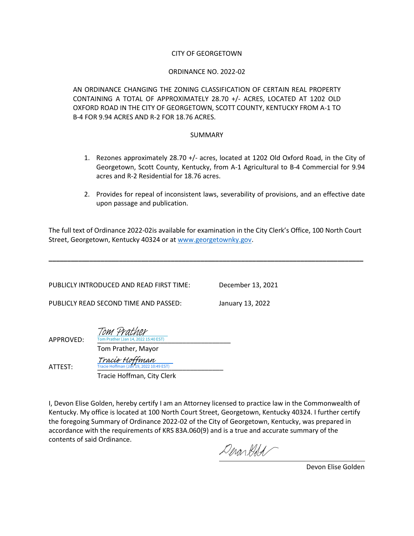#### CITY OF GEORGETOWN

#### ORDINANCE NO. 2022-02

AN ORDINANCE CHANGING THE ZONING CLASSIFICATION OF CERTAIN REAL PROPERTY CONTAINING A TOTAL OF APPROXIMATELY 28.70 +/- ACRES, LOCATED AT 1202 OLD OXFORD ROAD IN THE CITY OF GEORGETOWN, SCOTT COUNTY, KENTUCKY FROM A-1 TO B-4 FOR 9.94 ACRES AND R-2 FOR 18.76 ACRES.

#### SUMMARY

- 1. Rezones approximately 28.70 +/- acres, located at 1202 Old Oxford Road, in the City of Georgetown, Scott County, Kentucky, from A-1 Agricultural to B-4 Commercial for 9.94 acres and R-2 Residential for 18.76 acres.
- 2. Provides for repeal of inconsistent laws, severability of provisions, and an effective date upon passage and publication.

The full text of Ordinance 2022-02is available for examination in the City Clerk's Office, 100 North Court Street, Georgetown, Kentucky 40324 or at [www.georgetownky.gov.](http://www.georgetownky.gov/)

**\_\_\_\_\_\_\_\_\_\_\_\_\_\_\_\_\_\_\_\_\_\_\_\_\_\_\_\_\_\_\_\_\_\_\_\_\_\_\_\_\_\_\_\_\_\_\_\_\_\_\_\_\_\_\_\_\_\_\_\_\_\_\_\_\_\_\_\_\_\_\_\_\_\_\_\_\_\_\_\_\_\_\_\_\_**

PUBLICLY INTRODUCED AND READ FIRST TIME: December 13, 2021

PUBLICLY READ SECOND TIME AND PASSED: January 13, 2022

Tom Prather

APPROVED:

Tom Prather, Mayor

Tracie Hoffman

**ATTEST:** Tracie Hoffman (Jan 19, 2022 10:49 EST)

Tracie Hoffman, City Clerk Tracie Hoffman (Ja

 $\overline{14.202215:40 FST}$ 

I, Devon Elise Golden, hereby certify I am an Attorney licensed to practice law in the Commonwealth of Kentucky. My office is located at 100 North Court Street, Georgetown, Kentucky 40324. I further certify the foregoing Summary of Ordinance 2022-02 of the City of Georgetown, Kentucky, was prepared in accordance with the requirements of KRS 83A.060(9) and is a true and accurate summary of the contents of said Ordinance.

Denon Hold

Devon Elise Golden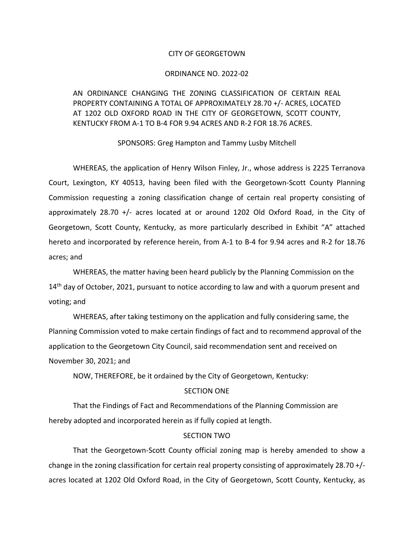#### CITY OF GEORGETOWN

#### ORDINANCE NO. 2022-02

# AN ORDINANCE CHANGING THE ZONING CLASSIFICATION OF CERTAIN REAL PROPERTY CONTAINING A TOTAL OF APPROXIMATELY 28.70 +/- ACRES, LOCATED AT 1202 OLD OXFORD ROAD IN THE CITY OF GEORGETOWN, SCOTT COUNTY, KENTUCKY FROM A-1 TO B-4 FOR 9.94 ACRES AND R-2 FOR 18.76 ACRES.

#### SPONSORS: Greg Hampton and Tammy Lusby Mitchell

WHEREAS, the application of Henry Wilson Finley, Jr., whose address is 2225 Terranova Court, Lexington, KY 40513, having been filed with the Georgetown-Scott County Planning Commission requesting a zoning classification change of certain real property consisting of approximately 28.70 +/- acres located at or around 1202 Old Oxford Road, in the City of Georgetown, Scott County, Kentucky, as more particularly described in Exhibit "A" attached hereto and incorporated by reference herein, from A-1 to B-4 for 9.94 acres and R-2 for 18.76 acres; and

WHEREAS, the matter having been heard publicly by the Planning Commission on the  $14<sup>th</sup>$  day of October, 2021, pursuant to notice according to law and with a quorum present and voting; and

WHEREAS, after taking testimony on the application and fully considering same, the Planning Commission voted to make certain findings of fact and to recommend approval of the application to the Georgetown City Council, said recommendation sent and received on November 30, 2021; and

NOW, THEREFORE, be it ordained by the City of Georgetown, Kentucky:

#### SECTION ONE

That the Findings of Fact and Recommendations of the Planning Commission are hereby adopted and incorporated herein as if fully copied at length.

#### SECTION TWO

That the Georgetown-Scott County official zoning map is hereby amended to show a change in the zoning classification for certain real property consisting of approximately 28.70 +/ acres located at 1202 Old Oxford Road, in the City of Georgetown, Scott County, Kentucky, as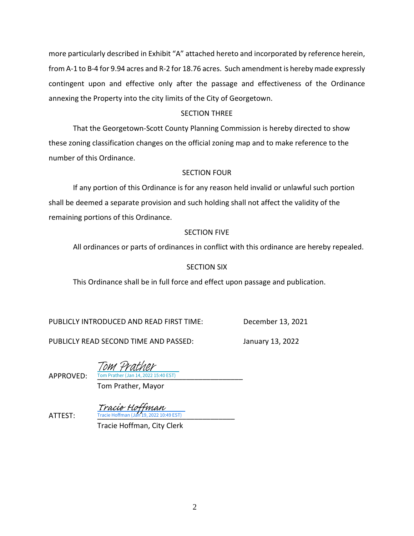more particularly described in Exhibit "A" attached hereto and incorporated by reference herein, from A-1 to B-4 for 9.94 acres and R-2 for 18.76 acres. Such amendment is hereby made expressly contingent upon and effective only after the passage and effectiveness of the Ordinance annexing the Property into the city limits of the City of Georgetown.

# SECTION THREE

That the Georgetown-Scott County Planning Commission is hereby directed to show these zoning classification changes on the official zoning map and to make reference to the number of this Ordinance.

### SECTION FOUR

If any portion of this Ordinance is for any reason held invalid or unlawful such portion shall be deemed a separate provision and such holding shall not affect the validity of the remaining portions of this Ordinance.

# SECTION FIVE

All ordinances or parts of ordinances in conflict with this ordinance are hereby repealed.

# SECTION SIX

This Ordinance shall be in full force and effect upon passage and publication.

PUBLICLY INTRODUCED AND READ FIRST TIME: December 13, 2021

PUBLICLY READ SECOND TIME AND PASSED: January 13, 2022

APPROVED: Tom Prather (Jan 14, 2022 15:40 EST) Tom Prather

Tom Prather, Mayor

**ATTEST:** Tracie Hoffman (Jan 19, 2022 10:49 EST) Tracie Hoffman

Tracie Hoffman, City Clerk